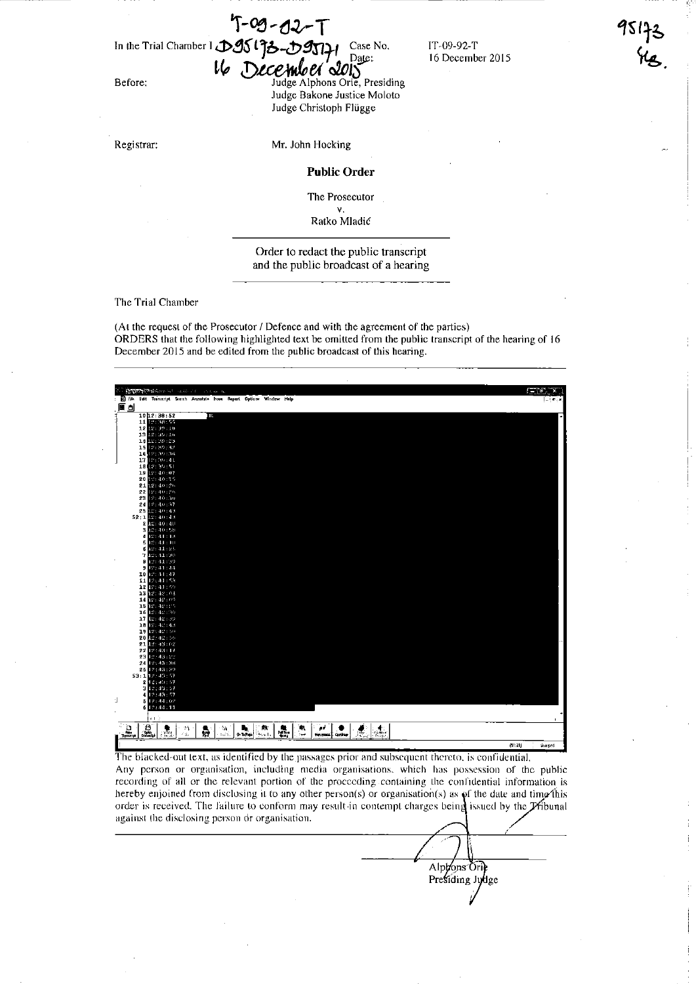T-09 - 12

In the Trial Chamber I **.:25 t** *jb***-chamber 1 Case No.** IT-09-92-T

 $16$  December 2015 Before: Judge Alphons Orie, Presiding Judge Bakone Justice Moloto Judge Christoph Flügge

Registrar:

Mr. John Hocking

Public Order

The Prosecutor Y.

Ratko Mladic

Order to redact the public transcript and the public broadcast of a hearing

The Trial Chamber

(At the request of the Prosecutor / Defence and with the agreement of the parties) ORDERS that the following highlighted text be omitted from the public transcript of the hearing of 16 December 2015 and be edited from the public broadcast of this bearing.



The blacked-out text, as identified by the passages prior and subsequent thereto, is confidential, Any person or organisation, including media organisations, which has possession of the public recording of all or the relevant portion of the proceeding containing the confidential information is hereby enjoined from disclosing it to any other person(s) or organisation(s) as  $\varphi$ f the date and time this order is received. The failure to conform may result in contempt charges being issued by the Pribunal against the disclosing person or organisation.

Alphons Orie<br>Presiding Judge

 $\bigwedge$  /

16 December 2015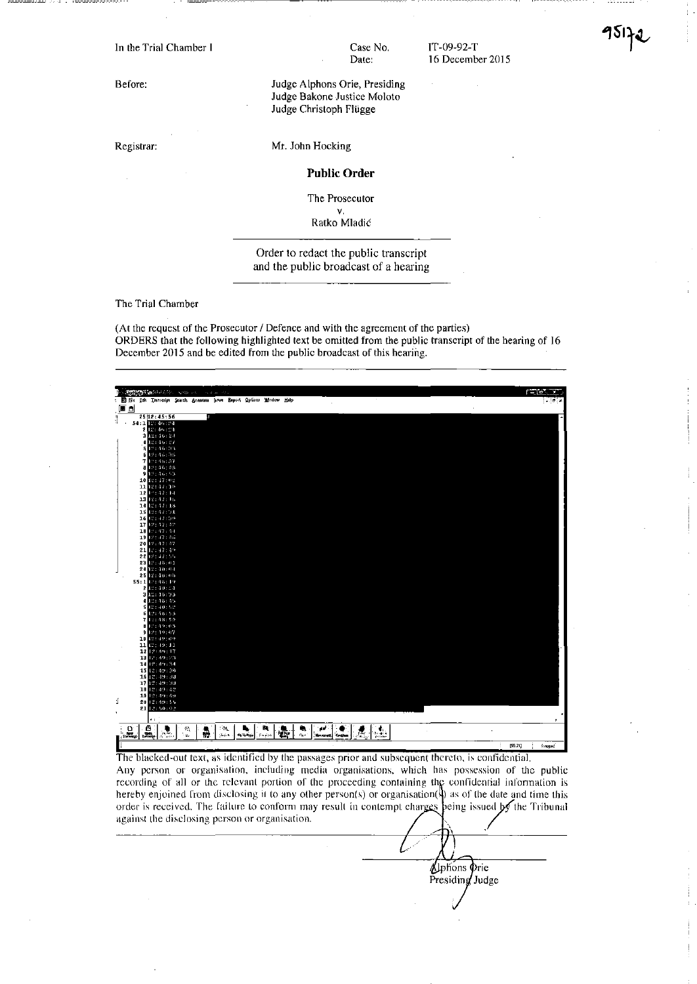In the Trial Chamber I

Before:

Registrar:

Case No. Date:

JT-09-92-T 16 December 2015

Judge Alphons Orie, Presiding Judge Bakone Justice Moloto Judge Christoph Flügge

Mr. John Hocking

Public Order

The Prosecutor v.

Ratko Mladic

Order to redact the public transcript and the public broadcast of a hearing

The Trial Chamber

(At the request of the Prosecutor / Defence and with the agreement of the parties) ORDERS that the following highlighted text be omitted from the public transcript of the hearing of 16 December 2015 and be edited from the public broadcast of this hearing.



The blacked-out text, as identified by the passages prior and subsequent thereto, is confidential. Any person or organisation, including media organisations, which has possession of the public recording of all or the relevant portion of the proceeding containing the confidential information is hereby enjoined from disclosing it to any other person(s) or organisation( $\frac{1}{2}$ ) as of the date and time this order is received. The failure to conform may result in contempt charges being issued by the Tribunal against the disclosing person or organisation. \ .

> Uphons Orie Presiding Judge